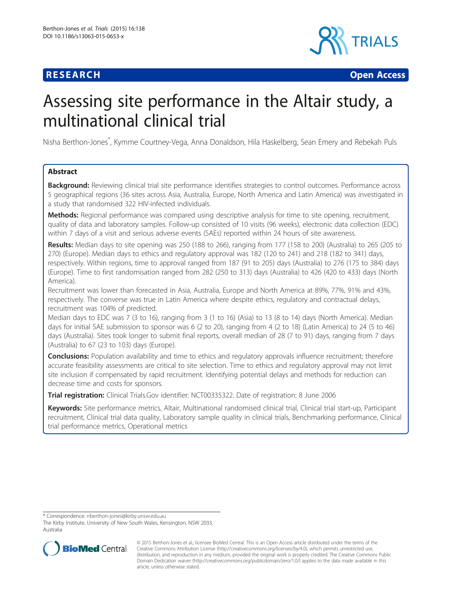

**RESEARCH CHEAR CHEAR CHEAR CHEAR CHEAR CHEAR CHEAR CHEAR CHEAR CHEAR CHEAR CHEAR CHEAR CHEAR CHEAR CHEAR CHEAR** 

# Assessing site performance in the Altair study, a multinational clinical trial

Nisha Berthon-Jones\* , Kymme Courtney-Vega, Anna Donaldson, Hila Haskelberg, Sean Emery and Rebekah Puls

# Abstract

**Background:** Reviewing clinical trial site performance identifies strategies to control outcomes. Performance across 5 geographical regions (36 sites across Asia, Australia, Europe, North America and Latin America) was investigated in a study that randomised 322 HIV-infected individuals.

Methods: Regional performance was compared using descriptive analysis for time to site opening, recruitment, quality of data and laboratory samples. Follow-up consisted of 10 visits (96 weeks), electronic data collection (EDC) within 7 days of a visit and serious adverse events (SAEs) reported within 24 hours of site awareness.

Results: Median days to site opening was 250 (188 to 266), ranging from 177 (158 to 200) (Australia) to 265 (205 to 270) (Europe). Median days to ethics and regulatory approval was 182 (120 to 241) and 218 (182 to 341) days, respectively. Within regions, time to approval ranged from 187 (91 to 205) days (Australia) to 276 (175 to 384) days (Europe). Time to first randomisation ranged from 282 (250 to 313) days (Australia) to 426 (420 to 433) days (North America).

Recruitment was lower than forecasted in Asia, Australia, Europe and North America at 89%, 77%, 91% and 43%, respectively. The converse was true in Latin America where despite ethics, regulatory and contractual delays, recruitment was 104% of predicted.

Median days to EDC was 7 (3 to 16), ranging from 3 (1 to 16) (Asia) to 13 (8 to 14) days (North America). Median days for initial SAE submission to sponsor was 6 (2 to 20), ranging from 4 (2 to 18) (Latin America) to 24 (5 to 46) days (Australia). Sites took longer to submit final reports, overall median of 28 (7 to 91) days, ranging from 7 days (Australia) to 67 (23 to 103) days (Europe).

**Conclusions:** Population availability and time to ethics and regulatory approvals influence recruitment; therefore accurate feasibility assessments are critical to site selection. Time to ethics and regulatory approval may not limit site inclusion if compensated by rapid recruitment. Identifying potential delays and methods for reduction can decrease time and costs for sponsors.

**Trial registration:** Clinical Trials.Gov identifier: [NCT00335322.](https://clinicaltrials.gov/ct2/show/NCT00335322) Date of registration: 8 June 2006

Keywords: Site performance metrics, Altair, Multinational randomised clinical trial, Clinical trial start-up, Participant recruitment, Clinical trial data quality, Laboratory sample quality in clinical trials, Benchmarking performance, Clinical trial performance metrics, Operational metrics

\* Correspondence: [nberthon-jones@kirby.unsw.edu.au](mailto:nberthon-jones@kirby.unsw.edu.au)

The Kirby Institute, University of New South Wales, Kensington, NSW 2033, Australia



<sup>© 2015</sup> Berthon-Jones et al.; licensee BioMed Central. This is an Open Access article distributed under the terms of the Creative Commons Attribution License (<http://creativecommons.org/licenses/by/4.0>), which permits unrestricted use, distribution, and reproduction in any medium, provided the original work is properly credited. The Creative Commons Public Domain Dedication waiver [\(http://creativecommons.org/publicdomain/zero/1.0/\)](http://creativecommons.org/publicdomain/zero/1.0/) applies to the data made available in this article, unless otherwise stated.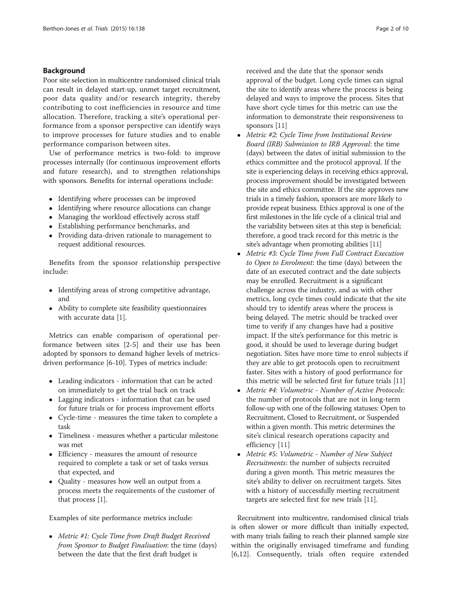# Background

Poor site selection in multicentre randomised clinical trials can result in delayed start-up, unmet target recruitment, poor data quality and/or research integrity, thereby contributing to cost inefficiencies in resource and time allocation. Therefore, tracking a site's operational performance from a sponsor perspective can identify ways to improve processes for future studies and to enable performance comparison between sites.

Use of performance metrics is two-fold: to improve processes internally (for continuous improvement efforts and future research), and to strengthen relationships with sponsors. Benefits for internal operations include:

- Identifying where processes can be improved
- Identifying where resource allocations can change
- Managing the workload effectively across staff
- Establishing performance benchmarks, and
- Providing data-driven rationale to management to request additional resources.

Benefits from the sponsor relationship perspective include:

- Identifying areas of strong competitive advantage, and
- Ability to complete site feasibility questionnaires with accurate data [[1\]](#page-9-0).

Metrics can enable comparison of operational performance between sites [\[2](#page-9-0)-[5](#page-9-0)] and their use has been adopted by sponsors to demand higher levels of metricsdriven performance [\[6](#page-9-0)-[10\]](#page-9-0). Types of metrics include:

- Leading indicators information that can be acted on immediately to get the trial back on track
- Lagging indicators information that can be used for future trials or for process improvement efforts
- Cycle-time measures the time taken to complete a task
- Timeliness measures whether a particular milestone was met
- Efficiency measures the amount of resource required to complete a task or set of tasks versus that expected, and
- Quality measures how well an output from a process meets the requirements of the customer of that process [[1](#page-9-0)].

Examples of site performance metrics include:

• Metric #1: Cycle Time from Draft Budget Received from Sponsor to Budget Finalisation: the time (days) between the date that the first draft budget is

received and the date that the sponsor sends approval of the budget. Long cycle times can signal the site to identify areas where the process is being delayed and ways to improve the process. Sites that have short cycle times for this metric can use the information to demonstrate their responsiveness to sponsors [[11\]](#page-9-0)

- Metric #2: Cycle Time from Institutional Review Board (IRB) Submission to IRB Approval: the time (days) between the dates of initial submission to the ethics committee and the protocol approval. If the site is experiencing delays in receiving ethics approval, process improvement should be investigated between the site and ethics committee. If the site approves new trials in a timely fashion, sponsors are more likely to provide repeat business. Ethics approval is one of the first milestones in the life cycle of a clinical trial and the variability between sites at this step is beneficial; therefore, a good track record for this metric is the site's advantage when promoting abilities [[11](#page-9-0)]
- Metric #3: Cycle Time from Full Contract Execution to Open to Enrolment: the time (days) between the date of an executed contract and the date subjects may be enrolled. Recruitment is a significant challenge across the industry, and as with other metrics, long cycle times could indicate that the site should try to identify areas where the process is being delayed. The metric should be tracked over time to verify if any changes have had a positive impact. If the site's performance for this metric is good, it should be used to leverage during budget negotiation. Sites have more time to enrol subjects if they are able to get protocols open to recruitment faster. Sites with a history of good performance for this metric will be selected first for future trials [[11](#page-9-0)]
- Metric #4: Volumetric Number of Active Protocols: the number of protocols that are not in long-term follow-up with one of the following statuses: Open to Recruitment, Closed to Recruitment, or Suspended within a given month. This metric determines the site's clinical research operations capacity and efficiency [\[11](#page-9-0)]
- Metric #5: Volumetric Number of New Subject Recruitments: the number of subjects recruited during a given month. This metric measures the site's ability to deliver on recruitment targets. Sites with a history of successfully meeting recruitment targets are selected first for new trials [[11\]](#page-9-0).

Recruitment into multicentre, randomised clinical trials is often slower or more difficult than initially expected, with many trials failing to reach their planned sample size within the originally envisaged timeframe and funding [[6,12](#page-9-0)]. Consequently, trials often require extended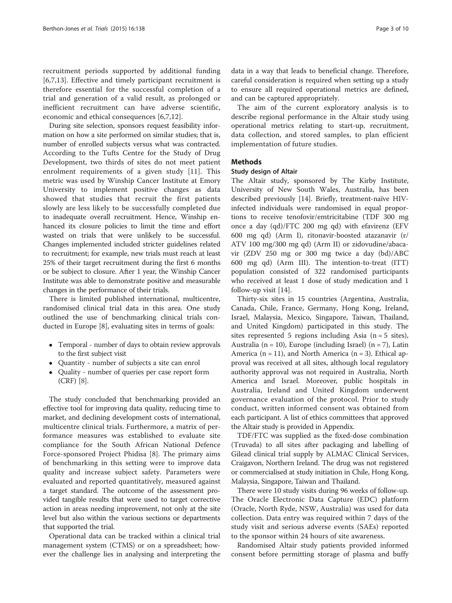recruitment periods supported by additional funding [[6,7,13](#page-9-0)]. Effective and timely participant recruitment is therefore essential for the successful completion of a trial and generation of a valid result, as prolonged or inefficient recruitment can have adverse scientific, economic and ethical consequences [[6,7](#page-9-0),[12\]](#page-9-0).

During site selection, sponsors request feasibility information on how a site performed on similar studies; that is, number of enrolled subjects versus what was contracted. According to the Tufts Centre for the Study of Drug Development, two thirds of sites do not meet patient enrolment requirements of a given study [[11\]](#page-9-0). This metric was used by Winship Cancer Institute at Emory University to implement positive changes as data showed that studies that recruit the first patients slowly are less likely to be successfully completed due to inadequate overall recruitment. Hence, Winship enhanced its closure policies to limit the time and effort wasted on trials that were unlikely to be successful. Changes implemented included stricter guidelines related to recruitment; for example, new trials must reach at least 25% of their target recruitment during the first 6 months or be subject to closure. After 1 year, the Winship Cancer Institute was able to demonstrate positive and measurable changes in the performance of their trials.

There is limited published international, multicentre, randomised clinical trial data in this area. One study outlined the use of benchmarking clinical trials conducted in Europe [[8\]](#page-9-0), evaluating sites in terms of goals:

- Temporal number of days to obtain review approvals to the first subject visit
- Quantity number of subjects a site can enrol
- Quality number of queries per case report form (CRF) [[8\]](#page-9-0).

The study concluded that benchmarking provided an effective tool for improving data quality, reducing time to market, and declining development costs of international, multicentre clinical trials. Furthermore, a matrix of performance measures was established to evaluate site compliance for the South African National Defence Force-sponsored Project Phidisa [\[8](#page-9-0)]. The primary aims of benchmarking in this setting were to improve data quality and increase subject safety. Parameters were evaluated and reported quantitatively, measured against a target standard. The outcome of the assessment provided tangible results that were used to target corrective action in areas needing improvement, not only at the site level but also within the various sections or departments that supported the trial.

Operational data can be tracked within a clinical trial management system (CTMS) or on a spreadsheet; however the challenge lies in analysing and interpreting the

data in a way that leads to beneficial change. Therefore, careful consideration is required when setting up a study to ensure all required operational metrics are defined, and can be captured appropriately.

The aim of the current exploratory analysis is to describe regional performance in the Altair study using operational metrics relating to start-up, recruitment, data collection, and stored samples, to plan efficient implementation of future studies.

## Methods

#### Study design of Altair

The Altair study, sponsored by The Kirby Institute, University of New South Wales, Australia, has been described previously [[14\]](#page-9-0). Briefly, treatment-naïve HIVinfected individuals were randomised in equal proportions to receive tenofovir/emtricitabine (TDF 300 mg once a day (qd)/FTC 200 mg qd) with efavirenz (EFV 600 mg qd) (Arm I), ritonavir-boosted atazanavir (r/ ATV 100 mg/300 mg qd) (Arm II) or zidovudine/abacavir (ZDV 250 mg or 300 mg twice a day (bd)/ABC 600 mg qd) (Arm III). The intention-to-treat (ITT) population consisted of 322 randomised participants who received at least 1 dose of study medication and 1 follow-up visit [[14](#page-9-0)].

Thirty-six sites in 15 countries (Argentina, Australia, Canada, Chile, France, Germany, Hong Kong, Ireland, Israel, Malaysia, Mexico, Singapore, Taiwan, Thailand, and United Kingdom) participated in this study. The sites represented 5 regions including Asia  $(n = 5$  sites), Australia (n = 10), Europe (including Israel) (n = 7), Latin America ( $n = 11$ ), and North America ( $n = 3$ ). Ethical approval was received at all sites, although local regulatory authority approval was not required in Australia, North America and Israel. Moreover, public hospitals in Australia, Ireland and United Kingdom underwent governance evaluation of the protocol. Prior to study conduct, written informed consent was obtained from each participant. A list of ethics committees that approved the Altair study is provided in [Appendix](#page-8-0).

TDF/FTC was supplied as the fixed-dose combination (Truvada) to all sites after packaging and labelling of Gilead clinical trial supply by ALMAC Clinical Services, Craigavon, Northern Ireland. The drug was not registered or commercialised at study initiation in Chile, Hong Kong, Malaysia, Singapore, Taiwan and Thailand.

There were 10 study visits during 96 weeks of follow-up. The Oracle Electronic Data Capture (EDC) platform (Oracle, North Ryde, NSW, Australia) was used for data collection. Data entry was required within 7 days of the study visit and serious adverse events (SAEs) reported to the sponsor within 24 hours of site awareness.

Randomised Altair study patients provided informed consent before permitting storage of plasma and buffy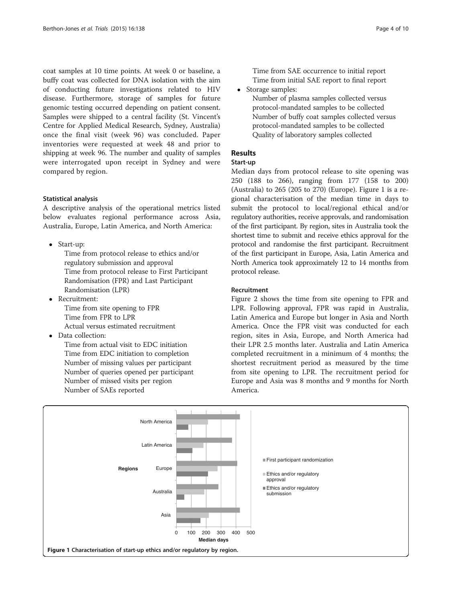coat samples at 10 time points. At week 0 or baseline, a buffy coat was collected for DNA isolation with the aim of conducting future investigations related to HIV disease. Furthermore, storage of samples for future genomic testing occurred depending on patient consent. Samples were shipped to a central facility (St. Vincent's Centre for Applied Medical Research, Sydney, Australia) once the final visit (week 96) was concluded. Paper inventories were requested at week 48 and prior to shipping at week 96. The number and quality of samples were interrogated upon receipt in Sydney and were compared by region.

# Statistical analysis

A descriptive analysis of the operational metrics listed below evaluates regional performance across Asia, Australia, Europe, Latin America, and North America:

Start-up:

Time from protocol release to ethics and/or regulatory submission and approval Time from protocol release to First Participant Randomisation (FPR) and Last Participant Randomisation (LPR)

Recruitment:

Time from site opening to FPR Time from FPR to LPR Actual versus estimated recruitment

• Data collection:

Time from actual visit to EDC initiation Time from EDC initiation to completion Number of missing values per participant Number of queries opened per participant Number of missed visits per region Number of SAEs reported

Time from SAE occurrence to initial report Time from initial SAE report to final report

• Storage samples:

Number of plasma samples collected versus protocol-mandated samples to be collected Number of buffy coat samples collected versus protocol-mandated samples to be collected Quality of laboratory samples collected

# Results

# Start-up

Median days from protocol release to site opening was 250 (188 to 266), ranging from 177 (158 to 200) (Australia) to 265 (205 to 270) (Europe). Figure 1 is a regional characterisation of the median time in days to submit the protocol to local/regional ethical and/or regulatory authorities, receive approvals, and randomisation of the first participant. By region, sites in Australia took the shortest time to submit and receive ethics approval for the protocol and randomise the first participant. Recruitment of the first participant in Europe, Asia, Latin America and North America took approximately 12 to 14 months from protocol release.

# Recruitment

Figure [2](#page-4-0) shows the time from site opening to FPR and LPR. Following approval, FPR was rapid in Australia, Latin America and Europe but longer in Asia and North America. Once the FPR visit was conducted for each region, sites in Asia, Europe, and North America had their LPR 2.5 months later. Australia and Latin America completed recruitment in a minimum of 4 months; the shortest recruitment period as measured by the time from site opening to LPR. The recruitment period for Europe and Asia was 8 months and 9 months for North America.

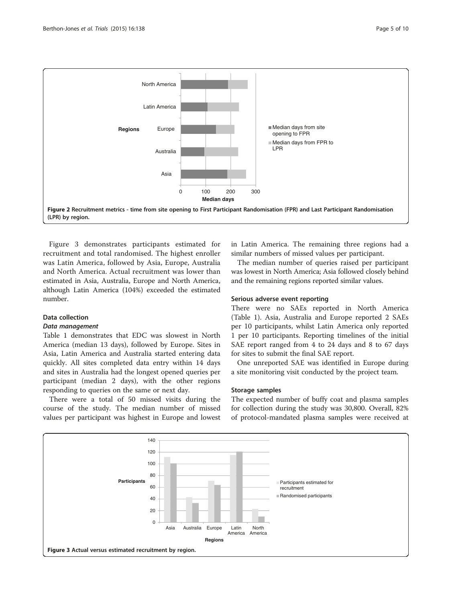<span id="page-4-0"></span>

Figure 3 demonstrates participants estimated for recruitment and total randomised. The highest enroller was Latin America, followed by Asia, Europe, Australia and North America. Actual recruitment was lower than estimated in Asia, Australia, Europe and North America, although Latin America (104%) exceeded the estimated number.

# Data collection

Table [1](#page-5-0) demonstrates that EDC was slowest in North America (median 13 days), followed by Europe. Sites in Asia, Latin America and Australia started entering data quickly. All sites completed data entry within 14 days and sites in Australia had the longest opened queries per participant (median 2 days), with the other regions responding to queries on the same or next day.

There were a total of 50 missed visits during the course of the study. The median number of missed values per participant was highest in Europe and lowest

in Latin America. The remaining three regions had a similar numbers of missed values per participant.

The median number of queries raised per participant was lowest in North America; Asia followed closely behind and the remaining regions reported similar values.

# Serious adverse event reporting

There were no SAEs reported in North America (Table [1](#page-5-0)). Asia, Australia and Europe reported 2 SAEs per 10 participants, whilst Latin America only reported 1 per 10 participants. Reporting timelines of the initial SAE report ranged from 4 to 24 days and 8 to 67 days for sites to submit the final SAE report.

One unreported SAE was identified in Europe during a site monitoring visit conducted by the project team.

# Storage samples

The expected number of buffy coat and plasma samples for collection during the study was 30,800. Overall, 82% of protocol-mandated plasma samples were received at

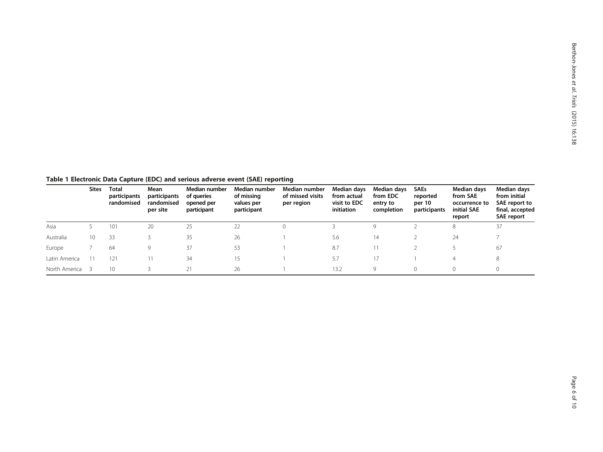<span id="page-5-0"></span>Table 1 Electronic Data Capture (EDC) and serious adverse event (SAE) reporting

|               | <b>Sites</b> | <b>Total</b><br>participants<br>randomised | Mean<br>participants<br>randomised<br>per site | Median number<br>of queries<br>opened per<br>participant | Median number<br>of missing<br>values per<br>participant | Median number<br>of missed visits<br>per region | Median days<br>from actual<br>visit to EDC<br>initiation | Median days<br>from EDC<br>entry to<br>completion | <b>SAEs</b><br>reported<br>per 10<br>participants | Median days<br>from SAE<br>occurrence to<br>initial SAE<br>report | Median days<br>from initial<br>SAE report to<br>final, accepted<br><b>SAE</b> report |
|---------------|--------------|--------------------------------------------|------------------------------------------------|----------------------------------------------------------|----------------------------------------------------------|-------------------------------------------------|----------------------------------------------------------|---------------------------------------------------|---------------------------------------------------|-------------------------------------------------------------------|--------------------------------------------------------------------------------------|
| Asia          |              | 101                                        | 20                                             | 25                                                       | 22                                                       | 0                                               |                                                          | 9                                                 |                                                   | 8                                                                 | 37                                                                                   |
| Australia     | 10           | 33                                         |                                                | 35                                                       | 26                                                       |                                                 | 5.6                                                      | 14                                                |                                                   | 24                                                                |                                                                                      |
| Europe        |              | 64                                         | Q                                              | 37                                                       | 53                                                       |                                                 | 8.7                                                      |                                                   |                                                   |                                                                   | 67                                                                                   |
| Latin America | 11           | 121                                        |                                                | 34                                                       | 15                                                       |                                                 | 5.7                                                      |                                                   |                                                   |                                                                   | 8                                                                                    |
| North America |              | 10                                         |                                                |                                                          | 26                                                       |                                                 | 13.2                                                     | 9                                                 |                                                   | $\Omega$                                                          |                                                                                      |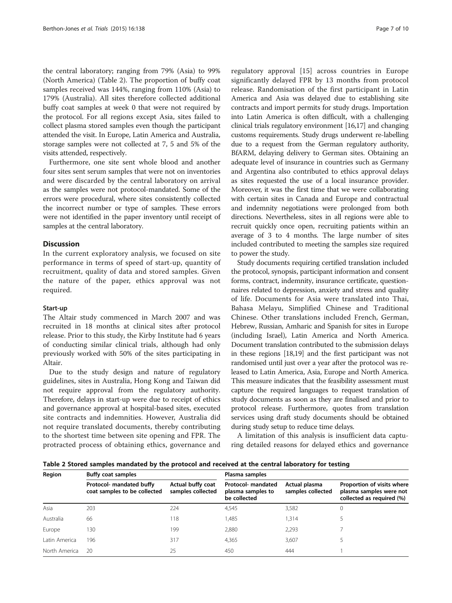the central laboratory; ranging from 79% (Asia) to 99% (North America) (Table 2). The proportion of buffy coat samples received was 144%, ranging from 110% (Asia) to 179% (Australia). All sites therefore collected additional buffy coat samples at week 0 that were not required by the protocol. For all regions except Asia, sites failed to collect plasma stored samples even though the participant attended the visit. In Europe, Latin America and Australia, storage samples were not collected at 7, 5 and 5% of the visits attended, respectively.

Furthermore, one site sent whole blood and another four sites sent serum samples that were not on inventories and were discarded by the central laboratory on arrival as the samples were not protocol-mandated. Some of the errors were procedural, where sites consistently collected the incorrect number or type of samples. These errors were not identified in the paper inventory until receipt of samples at the central laboratory.

# Discussion

In the current exploratory analysis, we focused on site performance in terms of speed of start-up, quantity of recruitment, quality of data and stored samples. Given the nature of the paper, ethics approval was not required.

#### Start-up

The Altair study commenced in March 2007 and was recruited in 18 months at clinical sites after protocol release. Prior to this study, the Kirby Institute had 6 years of conducting similar clinical trials, although had only previously worked with 50% of the sites participating in Altair.

Due to the study design and nature of regulatory guidelines, sites in Australia, Hong Kong and Taiwan did not require approval from the regulatory authority. Therefore, delays in start-up were due to receipt of ethics and governance approval at hospital-based sites, executed site contracts and indemnities. However, Australia did not require translated documents, thereby contributing to the shortest time between site opening and FPR. The protracted process of obtaining ethics, governance and

regulatory approval [\[15](#page-9-0)] across countries in Europe significantly delayed FPR by 13 months from protocol release. Randomisation of the first participant in Latin America and Asia was delayed due to establishing site contracts and import permits for study drugs. Importation into Latin America is often difficult, with a challenging clinical trials regulatory environment [[16,17](#page-9-0)] and changing customs requirements. Study drugs underwent re-labelling due to a request from the German regulatory authority, BfARM, delaying delivery to German sites. Obtaining an adequate level of insurance in countries such as Germany and Argentina also contributed to ethics approval delays as sites requested the use of a local insurance provider. Moreover, it was the first time that we were collaborating with certain sites in Canada and Europe and contractual and indemnity negotiations were prolonged from both directions. Nevertheless, sites in all regions were able to recruit quickly once open, recruiting patients within an average of 3 to 4 months. The large number of sites included contributed to meeting the samples size required to power the study.

Study documents requiring certified translation included the protocol, synopsis, participant information and consent forms, contract, indemnity, insurance certificate, questionnaires related to depression, anxiety and stress and quality of life. Documents for Asia were translated into Thai, Bahasa Melayu, Simplified Chinese and Traditional Chinese. Other translations included French, German, Hebrew, Russian, Amharic and Spanish for sites in Europe (including Israel), Latin America and North America. Document translation contributed to the submission delays in these regions [[18,19\]](#page-9-0) and the first participant was not randomised until just over a year after the protocol was released to Latin America, Asia, Europe and North America. This measure indicates that the feasibility assessment must capture the required languages to request translation of study documents as soon as they are finalised and prior to protocol release. Furthermore, quotes from translation services using draft study documents should be obtained during study setup to reduce time delays.

A limitation of this analysis is insufficient data capturing detailed reasons for delayed ethics and governance

Table 2 Stored samples mandated by the protocol and received at the central laboratory for testing

| Region         | <b>Buffy coat samples</b>                                |                                        | Plasma samples                                          |                                    |                                                                                    |  |  |  |
|----------------|----------------------------------------------------------|----------------------------------------|---------------------------------------------------------|------------------------------------|------------------------------------------------------------------------------------|--|--|--|
|                | Protocol- mandated buffy<br>coat samples to be collected | Actual buffy coat<br>samples collected | Protocol- mandated<br>plasma samples to<br>be collected | Actual plasma<br>samples collected | Proportion of visits where<br>plasma samples were not<br>collected as required (%) |  |  |  |
| Asia           | 203                                                      | 224                                    | 4,545                                                   | 3,582                              |                                                                                    |  |  |  |
| Australia      | 66                                                       | 18                                     | 1,485                                                   | 1.314                              |                                                                                    |  |  |  |
| Europe         | 30                                                       | 199                                    | 2,880                                                   | 2,293                              |                                                                                    |  |  |  |
| l atin America | 196                                                      | 317                                    | 4,365                                                   | 3,607                              |                                                                                    |  |  |  |
| North America  | -20                                                      | 25                                     | 450                                                     | 444                                |                                                                                    |  |  |  |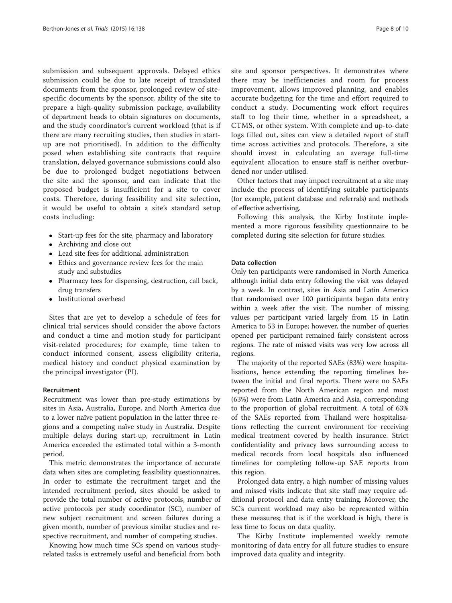submission and subsequent approvals. Delayed ethics submission could be due to late receipt of translated documents from the sponsor, prolonged review of sitespecific documents by the sponsor, ability of the site to prepare a high-quality submission package, availability of department heads to obtain signatures on documents, and the study coordinator's current workload (that is if there are many recruiting studies, then studies in startup are not prioritised). In addition to the difficulty posed when establishing site contracts that require translation, delayed governance submissions could also be due to prolonged budget negotiations between the site and the sponsor, and can indicate that the proposed budget is insufficient for a site to cover costs. Therefore, during feasibility and site selection, it would be useful to obtain a site's standard setup costs including:

- Start-up fees for the site, pharmacy and laboratory
- Archiving and close out
- Lead site fees for additional administration
- Ethics and governance review fees for the main study and substudies
- Pharmacy fees for dispensing, destruction, call back, drug transfers
- Institutional overhead

Sites that are yet to develop a schedule of fees for clinical trial services should consider the above factors and conduct a time and motion study for participant visit-related procedures; for example, time taken to conduct informed consent, assess eligibility criteria, medical history and conduct physical examination by the principal investigator (PI).

# Recruitment

Recruitment was lower than pre-study estimations by sites in Asia, Australia, Europe, and North America due to a lower naïve patient population in the latter three regions and a competing naïve study in Australia. Despite multiple delays during start-up, recruitment in Latin America exceeded the estimated total within a 3-month period.

This metric demonstrates the importance of accurate data when sites are completing feasibility questionnaires. In order to estimate the recruitment target and the intended recruitment period, sites should be asked to provide the total number of active protocols, number of active protocols per study coordinator (SC), number of new subject recruitment and screen failures during a given month, number of previous similar studies and respective recruitment, and number of competing studies.

Knowing how much time SCs spend on various studyrelated tasks is extremely useful and beneficial from both

site and sponsor perspectives. It demonstrates where there may be inefficiencies and room for process improvement, allows improved planning, and enables accurate budgeting for the time and effort required to conduct a study. Documenting work effort requires staff to log their time, whether in a spreadsheet, a CTMS, or other system. With complete and up-to-date logs filled out, sites can view a detailed report of staff time across activities and protocols. Therefore, a site should invest in calculating an average full-time equivalent allocation to ensure staff is neither overburdened nor under-utilised.

Other factors that may impact recruitment at a site may include the process of identifying suitable participants (for example, patient database and referrals) and methods of effective advertising.

Following this analysis, the Kirby Institute implemented a more rigorous feasibility questionnaire to be completed during site selection for future studies.

#### Data collection

Only ten participants were randomised in North America although initial data entry following the visit was delayed by a week. In contrast, sites in Asia and Latin America that randomised over 100 participants began data entry within a week after the visit. The number of missing values per participant varied largely from 15 in Latin America to 53 in Europe; however, the number of queries opened per participant remained fairly consistent across regions. The rate of missed visits was very low across all regions.

The majority of the reported SAEs (83%) were hospitalisations, hence extending the reporting timelines between the initial and final reports. There were no SAEs reported from the North American region and most (63%) were from Latin America and Asia, corresponding to the proportion of global recruitment. A total of 63% of the SAEs reported from Thailand were hospitalisations reflecting the current environment for receiving medical treatment covered by health insurance. Strict confidentiality and privacy laws surrounding access to medical records from local hospitals also influenced timelines for completing follow-up SAE reports from this region.

Prolonged data entry, a high number of missing values and missed visits indicate that site staff may require additional protocol and data entry training. Moreover, the SC's current workload may also be represented within these measures; that is if the workload is high, there is less time to focus on data quality.

The Kirby Institute implemented weekly remote monitoring of data entry for all future studies to ensure improved data quality and integrity.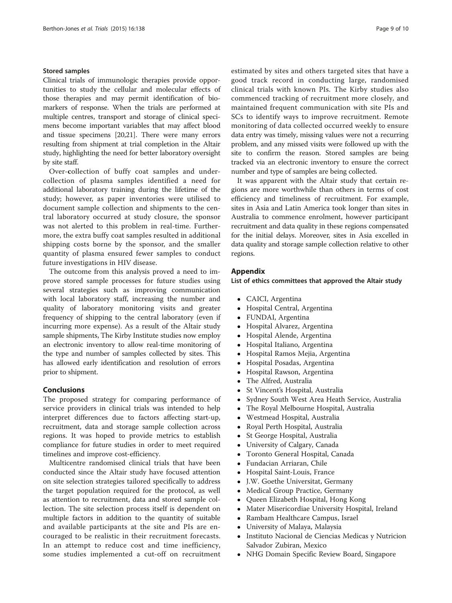#### <span id="page-8-0"></span>Stored samples

Clinical trials of immunologic therapies provide opportunities to study the cellular and molecular effects of those therapies and may permit identification of biomarkers of response. When the trials are performed at multiple centres, transport and storage of clinical specimens become important variables that may affect blood and tissue specimens [\[20,21\]](#page-9-0). There were many errors resulting from shipment at trial completion in the Altair study, highlighting the need for better laboratory oversight by site staff.

Over-collection of buffy coat samples and undercollection of plasma samples identified a need for additional laboratory training during the lifetime of the study; however, as paper inventories were utilised to document sample collection and shipments to the central laboratory occurred at study closure, the sponsor was not alerted to this problem in real-time. Furthermore, the extra buffy coat samples resulted in additional shipping costs borne by the sponsor, and the smaller quantity of plasma ensured fewer samples to conduct future investigations in HIV disease.

The outcome from this analysis proved a need to improve stored sample processes for future studies using several strategies such as improving communication with local laboratory staff, increasing the number and quality of laboratory monitoring visits and greater frequency of shipping to the central laboratory (even if incurring more expense). As a result of the Altair study sample shipments, The Kirby Institute studies now employ an electronic inventory to allow real-time monitoring of the type and number of samples collected by sites. This has allowed early identification and resolution of errors prior to shipment.

# Conclusions

The proposed strategy for comparing performance of service providers in clinical trials was intended to help interpret differences due to factors affecting start-up, recruitment, data and storage sample collection across regions. It was hoped to provide metrics to establish compliance for future studies in order to meet required timelines and improve cost-efficiency.

Multicentre randomised clinical trials that have been conducted since the Altair study have focused attention on site selection strategies tailored specifically to address the target population required for the protocol, as well as attention to recruitment, data and stored sample collection. The site selection process itself is dependent on multiple factors in addition to the quantity of suitable and available participants at the site and PIs are encouraged to be realistic in their recruitment forecasts. In an attempt to reduce cost and time inefficiency, some studies implemented a cut-off on recruitment estimated by sites and others targeted sites that have a good track record in conducting large, randomised clinical trials with known PIs. The Kirby studies also commenced tracking of recruitment more closely, and maintained frequent communication with site PIs and SCs to identify ways to improve recruitment. Remote monitoring of data collected occurred weekly to ensure data entry was timely, missing values were not a recurring problem, and any missed visits were followed up with the site to confirm the reason. Stored samples are being tracked via an electronic inventory to ensure the correct number and type of samples are being collected.

It was apparent with the Altair study that certain regions are more worthwhile than others in terms of cost efficiency and timeliness of recruitment. For example, sites in Asia and Latin America took longer than sites in Australia to commence enrolment, however participant recruitment and data quality in these regions compensated for the initial delays. Moreover, sites in Asia excelled in data quality and storage sample collection relative to other regions.

## Appendix

List of ethics committees that approved the Altair study

- CAICI, Argentina
- Hospital Central, Argentina
- FUNDAI, Argentina<br>• Hospital Alvarez, Ar
- Hospital Alvarez, Argentina
- Hospital Alende, Argentina
- Hospital Italiano, Argentina
- Hospital Ramos Mejia, Argentina<br>• Hospital Posadas, Argentina
- Hospital Posadas, Argentina
- Hospital Rawson, Argentina<br>• The Alfred, Australia
- The Alfred, Australia<br>• St Vincent's Hospital
- St Vincent's Hospital, Australia
- Sydney South West Area Heath Service, Australia<br>• The Roval Melbourne Hospital. Australia
- The Royal Melbourne Hospital, Australia
- Westmead Hospital, Australia
- Royal Perth Hospital, Australia
- St George Hospital, Australia
- University of Calgary, Canada
- Toronto General Hospital, Canada
- Fundacian Arriaran, Chile
- Hospital Saint-Louis, France
- J.W. Goethe Universitat, Germany
- Medical Group Practice, Germany
- Queen Elizabeth Hospital, Hong Kong
- Mater Misericordiae University Hospital, Ireland
- Rambam Healthcare Campus, Israel
- University of Malaya, Malaysia
- Instituto Nacional de Ciencias Medicas y Nutricion Salvador Zubiran, Mexico
- NHG Domain Specific Review Board, Singapore